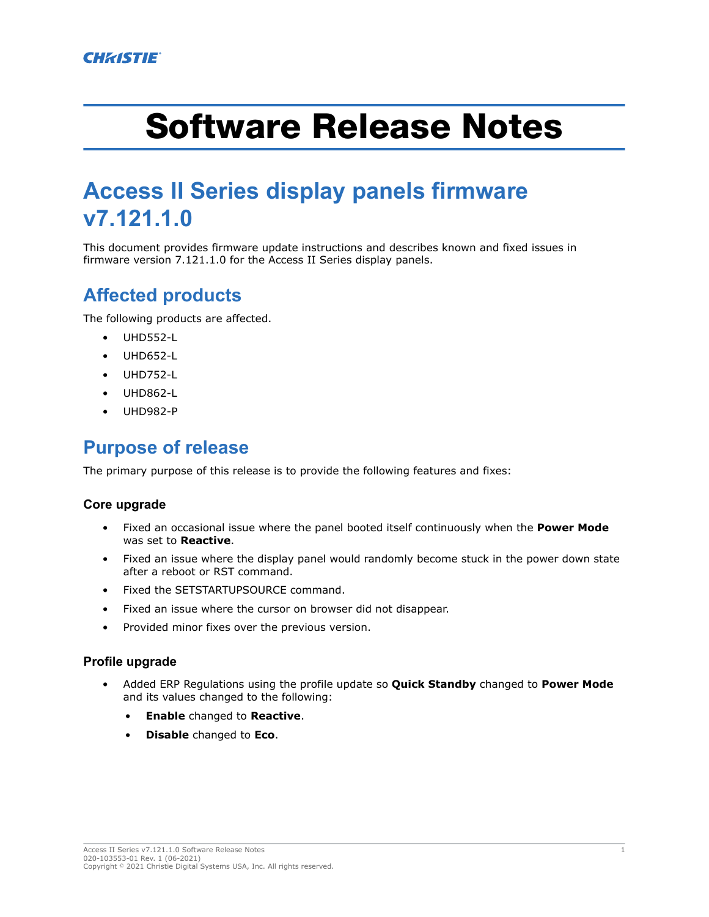# Software Release Notes

## **Access II Series display panels firmware v7.121.1.0**

This document provides firmware update instructions and describes known and fixed issues in firmware version 7.121.1.0 for the Access II Series display panels.

## **Affected products**

The following products are affected.

- UHD552-L
- UHD652-L
- UHD752-L
- UHD862-L
- UHD982-P

#### **Purpose of release**

The primary purpose of this release is to provide the following features and fixes:

#### **Core upgrade**

- Fixed an occasional issue where the panel booted itself continuously when the **Power Mode** was set to **Reactive**.
- Fixed an issue where the display panel would randomly become stuck in the power down state after a reboot or RST command.
- Fixed the SETSTARTUPSOURCE command.
- Fixed an issue where the cursor on browser did not disappear.
- Provided minor fixes over the previous version.

#### **Profile upgrade**

- Added ERP Regulations using the profile update so **Quick Standby** changed to **Power Mode** and its values changed to the following:
	- **Enable** changed to **Reactive**.
	- **Disable** changed to **Eco**.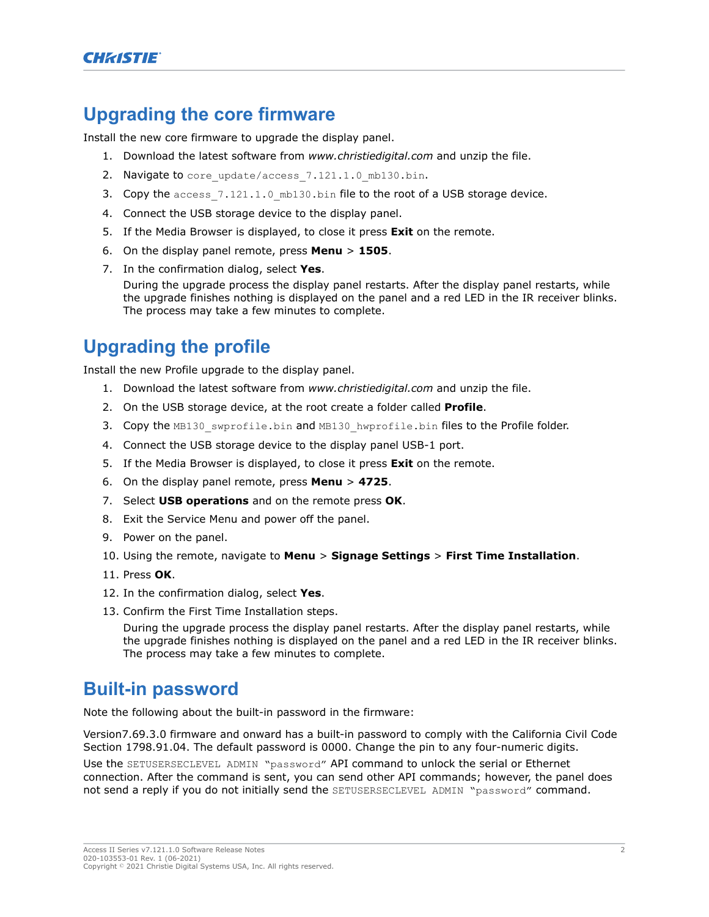#### **Upgrading the core firmware**

Install the new core firmware to upgrade the display panel.

- 1. Download the latest software from *[www.christiedigital.com](http://www.christiedigital.com)* and unzip the file.
- 2. Navigate to core update/access 7.121.1.0 mb130.bin.
- 3. Copy the access  $7.121.1.0$  mb130.bin file to the root of a USB storage device.
- 4. Connect the USB storage device to the display panel.
- 5. If the Media Browser is displayed, to close it press **Exit** on the remote.
- 6. On the display panel remote, press **Menu** > **1505**.
- 7. In the confirmation dialog, select **Yes**.

During the upgrade process the display panel restarts. After the display panel restarts, while the upgrade finishes nothing is displayed on the panel and a red LED in the IR receiver blinks. The process may take a few minutes to complete.

## **Upgrading the profile**

Install the new Profile upgrade to the display panel.

- 1. Download the latest software from *[www.christiedigital.com](http://www.christiedigital.com)* and unzip the file.
- 2. On the USB storage device, at the root create a folder called **Profile**.
- 3. Copy the MB130 swprofile.bin and MB130 hwprofile.bin files to the Profile folder.
- 4. Connect the USB storage device to the display panel USB-1 port.
- 5. If the Media Browser is displayed, to close it press **Exit** on the remote.
- 6. On the display panel remote, press **Menu** > **4725**.
- 7. Select **USB operations** and on the remote press **OK**.
- 8. Exit the Service Menu and power off the panel.
- 9. Power on the panel.
- 10. Using the remote, navigate to **Menu** > **Signage Settings** > **First Time Installation**.
- 11. Press **OK**.
- 12. In the confirmation dialog, select **Yes**.
- 13. Confirm the First Time Installation steps.

During the upgrade process the display panel restarts. After the display panel restarts, while the upgrade finishes nothing is displayed on the panel and a red LED in the IR receiver blinks. The process may take a few minutes to complete.

#### **Built-in password**

Note the following about the built-in password in the firmware:

Version7.69.3.0 firmware and onward has a built-in password to comply with the California Civil Code Section 1798.91.04. The default password is 0000. Change the pin to any four-numeric digits.

Use the SETUSERSECLEVEL ADMIN "password" API command to unlock the serial or Ethernet connection. After the command is sent, you can send other API commands; however, the panel does not send a reply if you do not initially send the SETUSERSECLEVEL ADMIN "password" command.